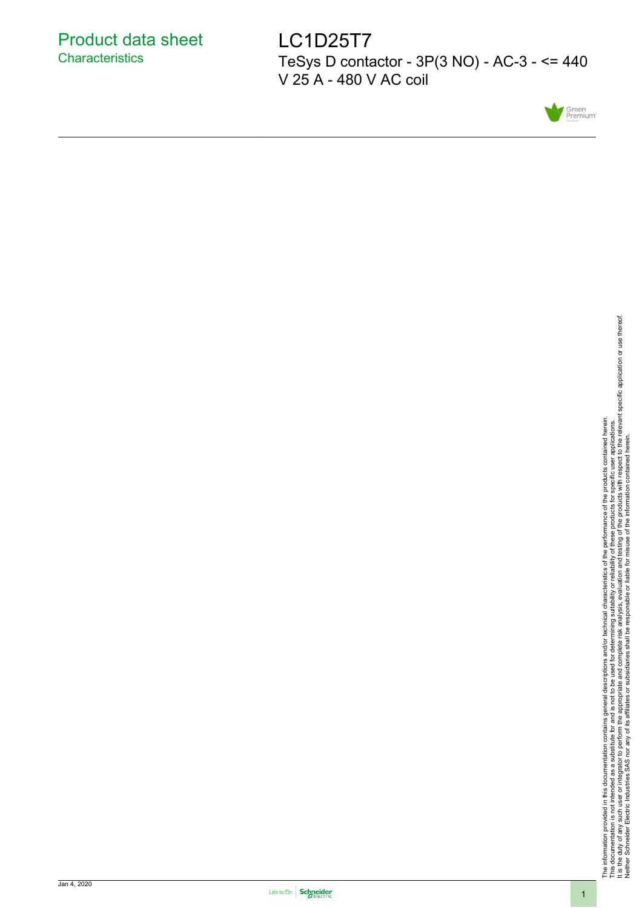LC1D25T7 TeSys D contactor - 3P(3 NO) - AC-3 - <= 440 V 25 A - 480 V AC coil



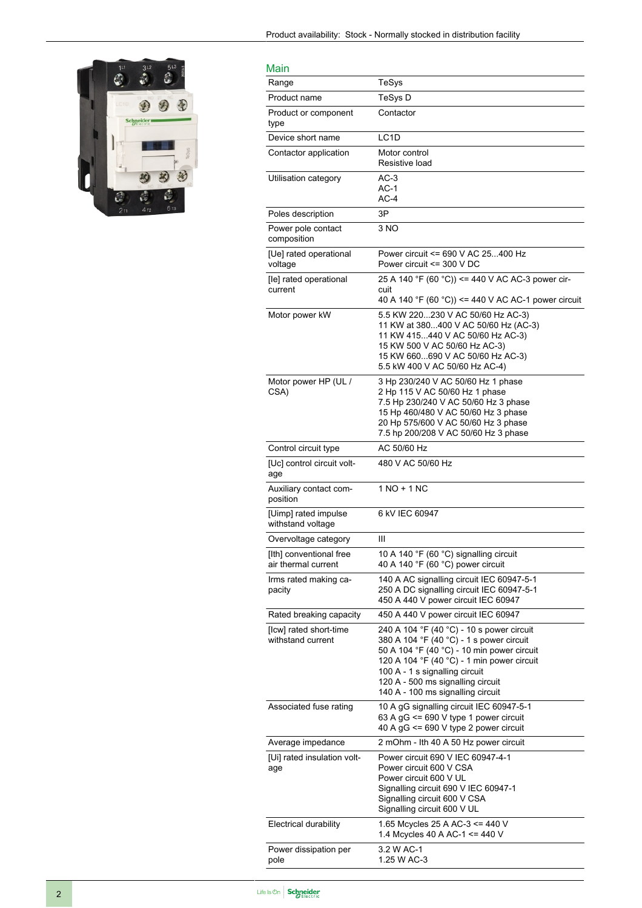

| Main                                           |                                                                                                                                                                                                                                                                                               |
|------------------------------------------------|-----------------------------------------------------------------------------------------------------------------------------------------------------------------------------------------------------------------------------------------------------------------------------------------------|
| Range                                          | TeSys                                                                                                                                                                                                                                                                                         |
| Product name                                   | TeSys D                                                                                                                                                                                                                                                                                       |
| Product or component<br>type                   | Contactor                                                                                                                                                                                                                                                                                     |
| Device short name                              | LC1D                                                                                                                                                                                                                                                                                          |
| Contactor application                          | Motor control<br>Resistive load                                                                                                                                                                                                                                                               |
| Utilisation category                           | $AC-3$<br>AC-1<br>AC-4                                                                                                                                                                                                                                                                        |
| Poles description                              | 3P                                                                                                                                                                                                                                                                                            |
| Power pole contact<br>composition              | 3 NO                                                                                                                                                                                                                                                                                          |
| [Ue] rated operational<br>voltage              | Power circuit <= 690 V AC 25400 Hz<br>Power circuit <= 300 V DC                                                                                                                                                                                                                               |
| [le] rated operational<br>current              | 25 A 140 °F (60 °C)) <= 440 V AC AC-3 power cir-<br>cuit<br>40 A 140 °F (60 °C)) <= 440 V AC AC-1 power circuit                                                                                                                                                                               |
| Motor power kW                                 | 5.5 KW 220230 V AC 50/60 Hz AC-3)<br>11 KW at 380400 V AC 50/60 Hz (AC-3)<br>11 KW 415440 V AC 50/60 Hz AC-3)<br>15 KW 500 V AC 50/60 Hz AC-3)<br>15 KW 660690 V AC 50/60 Hz AC-3)<br>5.5 kW 400 V AC 50/60 Hz AC-4)                                                                          |
| Motor power HP (UL /<br>CSA)                   | 3 Hp 230/240 V AC 50/60 Hz 1 phase<br>2 Hp 115 V AC 50/60 Hz 1 phase<br>7.5 Hp 230/240 V AC 50/60 Hz 3 phase<br>15 Hp 460/480 V AC 50/60 Hz 3 phase<br>20 Hp 575/600 V AC 50/60 Hz 3 phase<br>7.5 hp 200/208 V AC 50/60 Hz 3 phase                                                            |
| Control circuit type                           | AC 50/60 Hz                                                                                                                                                                                                                                                                                   |
| [Uc] control circuit volt-<br>age              | 480 V AC 50/60 Hz                                                                                                                                                                                                                                                                             |
| Auxiliary contact com-<br>position             | 1 NO + 1 NC                                                                                                                                                                                                                                                                                   |
| [Uimp] rated impulse<br>withstand voltage      | 6 kV IEC 60947                                                                                                                                                                                                                                                                                |
| Overvoltage category                           | Ш                                                                                                                                                                                                                                                                                             |
| [Ith] conventional free<br>air thermal current | 10 A 140 °F (60 °C) signalling circuit<br>40 A 140 °F (60 °C) power circuit                                                                                                                                                                                                                   |
| Irms rated making ca-<br>pacity                | 140 A AC signalling circuit IEC 60947-5-1<br>250 A DC signalling circuit IEC 60947-5-1<br>450 A 440 V power circuit IEC 60947                                                                                                                                                                 |
| Rated breaking capacity                        | 450 A 440 V power circuit IEC 60947                                                                                                                                                                                                                                                           |
| [lcw] rated short-time<br>withstand current    | 240 A 104 °F (40 °C) - 10 s power circuit<br>380 A 104 °F (40 °C) - 1 s power circuit<br>50 A 104 °F (40 °C) - 10 min power circuit<br>120 A 104 °F (40 °C) - 1 min power circuit<br>100 A - 1 s signalling circuit<br>120 A - 500 ms signalling circuit<br>140 A - 100 ms signalling circuit |
| Associated fuse rating                         | 10 A gG signalling circuit IEC 60947-5-1<br>63 A $gG \le 690$ V type 1 power circuit<br>40 A $gG \le 690$ V type 2 power circuit                                                                                                                                                              |
| Average impedance                              | 2 mOhm - Ith 40 A 50 Hz power circuit                                                                                                                                                                                                                                                         |
| [Ui] rated insulation volt-<br>age             | Power circuit 690 V IEC 60947-4-1<br>Power circuit 600 V CSA<br>Power circuit 600 V UL<br>Signalling circuit 690 V IEC 60947-1<br>Signalling circuit 600 V CSA<br>Signalling circuit 600 V UL                                                                                                 |
| Electrical durability                          | 1.65 Mcycles 25 A AC-3 <= 440 V<br>1.4 Mcycles 40 A AC-1 <= 440 V                                                                                                                                                                                                                             |
| Power dissipation per<br>pole                  | 3.2 W AC-1<br>1.25 W AC-3                                                                                                                                                                                                                                                                     |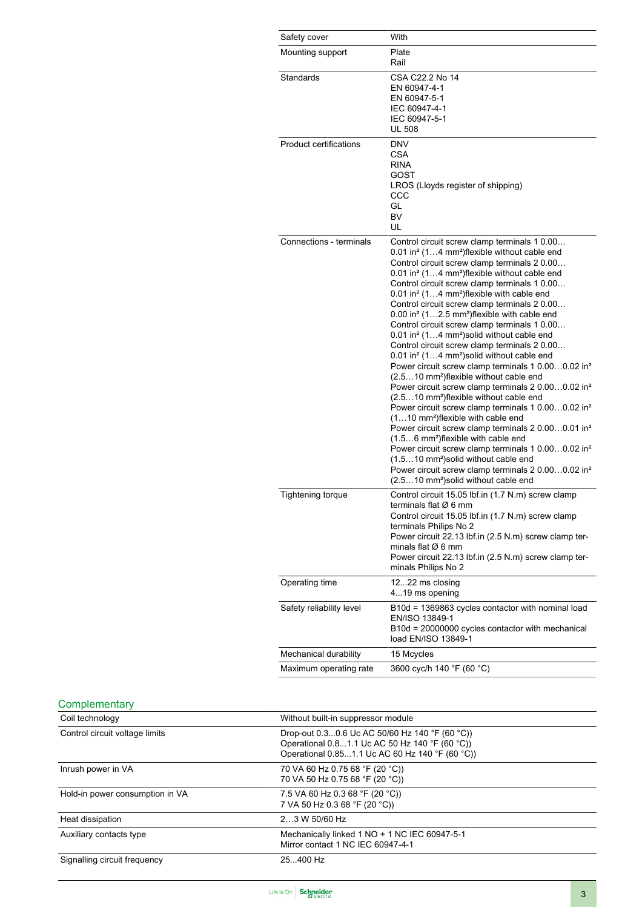| Safety cover                  | With                                                                                                                                                                                                                                                                                                                                                                                                                                                                                                                                                                                                                                                                                                                                                                                                                                                                                                                                                                                                                                                                                                                                                                                                                                                                                                                                                                                                                                                                            |
|-------------------------------|---------------------------------------------------------------------------------------------------------------------------------------------------------------------------------------------------------------------------------------------------------------------------------------------------------------------------------------------------------------------------------------------------------------------------------------------------------------------------------------------------------------------------------------------------------------------------------------------------------------------------------------------------------------------------------------------------------------------------------------------------------------------------------------------------------------------------------------------------------------------------------------------------------------------------------------------------------------------------------------------------------------------------------------------------------------------------------------------------------------------------------------------------------------------------------------------------------------------------------------------------------------------------------------------------------------------------------------------------------------------------------------------------------------------------------------------------------------------------------|
| Mounting support              | Plate<br>Rail                                                                                                                                                                                                                                                                                                                                                                                                                                                                                                                                                                                                                                                                                                                                                                                                                                                                                                                                                                                                                                                                                                                                                                                                                                                                                                                                                                                                                                                                   |
| Standards                     | CSA C22.2 No 14<br>EN 60947-4-1<br>EN 60947-5-1<br>IEC 60947-4-1<br>IEC 60947-5-1<br><b>UL 508</b>                                                                                                                                                                                                                                                                                                                                                                                                                                                                                                                                                                                                                                                                                                                                                                                                                                                                                                                                                                                                                                                                                                                                                                                                                                                                                                                                                                              |
| <b>Product certifications</b> | DNV<br>CSA<br><b>RINA</b><br>GOST<br>LROS (Lloyds register of shipping)<br>CCC<br>GL<br>BV<br>UL                                                                                                                                                                                                                                                                                                                                                                                                                                                                                                                                                                                                                                                                                                                                                                                                                                                                                                                                                                                                                                                                                                                                                                                                                                                                                                                                                                                |
| Connections - terminals       | Control circuit screw clamp terminals 1 0.00<br>0.01 in <sup>2</sup> (14 mm <sup>2</sup> ) flexible without cable end<br>Control circuit screw clamp terminals 2 0.00<br>0.01 in <sup>2</sup> (14 mm <sup>2</sup> ) flexible without cable end<br>Control circuit screw clamp terminals 1 0.00<br>0.01 in <sup>2</sup> (14 mm <sup>2</sup> ) flexible with cable end<br>Control circuit screw clamp terminals 2 0.00<br>$0.00$ in <sup>2</sup> (12.5 mm <sup>2</sup> ) flexible with cable end<br>Control circuit screw clamp terminals 1 0.00<br>0.01 in <sup>2</sup> (14 mm <sup>2</sup> ) solid without cable end<br>Control circuit screw clamp terminals 2 0.00<br>0.01 in <sup>2</sup> (14 mm <sup>2</sup> ) solid without cable end<br>Power circuit screw clamp terminals 1 0.000.02 in <sup>2</sup><br>(2.510 mm <sup>2</sup> )flexible without cable end<br>Power circuit screw clamp terminals 2 0.000.02 in <sup>2</sup><br>(2.510 mm <sup>2</sup> ) flexible without cable end<br>Power circuit screw clamp terminals 1 0.000.02 in <sup>2</sup><br>(110 mm <sup>2</sup> )flexible with cable end<br>Power circuit screw clamp terminals 2 0.000.01 in <sup>2</sup><br>(1.56 mm <sup>2</sup> ) flexible with cable end<br>Power circuit screw clamp terminals 1 0.000.02 in <sup>2</sup><br>(1.510 mm <sup>2</sup> ) solid without cable end<br>Power circuit screw clamp terminals 2 0.000.02 in <sup>2</sup><br>(2.510 mm <sup>2</sup> ) solid without cable end |
| Tightening torque             | Control circuit 15.05 lbf.in (1.7 N.m) screw clamp<br>terminals flat Ø 6 mm<br>Control circuit 15.05 lbt.in (1.7 N.m) screw clamp<br>terminals Philips No 2<br>Power circuit 22.13 lbf.in (2.5 N.m) screw clamp ter-<br>minals flat $\varnothing$ 6 mm<br>Power circuit 22.13 lbf.in (2.5 N.m) screw clamp ter-<br>minals Philips No 2                                                                                                                                                                                                                                                                                                                                                                                                                                                                                                                                                                                                                                                                                                                                                                                                                                                                                                                                                                                                                                                                                                                                          |
| Operating time                | 1222 ms closing<br>419 ms opening                                                                                                                                                                                                                                                                                                                                                                                                                                                                                                                                                                                                                                                                                                                                                                                                                                                                                                                                                                                                                                                                                                                                                                                                                                                                                                                                                                                                                                               |
| Safety reliability level      | B10d = 1369863 cycles contactor with nominal load<br>EN/ISO 13849-1<br>B10d = 20000000 cycles contactor with mechanical<br>load EN/ISO 13849-1                                                                                                                                                                                                                                                                                                                                                                                                                                                                                                                                                                                                                                                                                                                                                                                                                                                                                                                                                                                                                                                                                                                                                                                                                                                                                                                                  |
| Mechanical durability         | 15 Mcycles                                                                                                                                                                                                                                                                                                                                                                                                                                                                                                                                                                                                                                                                                                                                                                                                                                                                                                                                                                                                                                                                                                                                                                                                                                                                                                                                                                                                                                                                      |
| Maximum operating rate        | 3600 cyc/h 140 °F (60 °C)                                                                                                                                                                                                                                                                                                                                                                                                                                                                                                                                                                                                                                                                                                                                                                                                                                                                                                                                                                                                                                                                                                                                                                                                                                                                                                                                                                                                                                                       |

# **Complementary**

| Coil technology                 | Without built-in suppressor module                                                                                                                  |  |
|---------------------------------|-----------------------------------------------------------------------------------------------------------------------------------------------------|--|
| Control circuit voltage limits  | Drop-out 0.30.6 Uc AC 50/60 Hz 140 °F (60 °C))<br>Operational 0.81.1 Uc AC 50 Hz 140 °F (60 °C))<br>Operational 0.851.1 Uc AC 60 Hz 140 °F (60 °C)) |  |
| Inrush power in VA              | 70 VA 60 Hz 0.75 68 °F (20 °C))<br>70 VA 50 Hz 0.75 68 °F (20 °C))                                                                                  |  |
| Hold-in power consumption in VA | 7.5 VA 60 Hz 0.3 68 °F (20 °C))<br>7 VA 50 Hz 0.3 68 °F (20 °C))                                                                                    |  |
| Heat dissipation                | 23 W 50/60 Hz                                                                                                                                       |  |
| Auxiliary contacts type         | Mechanically linked 1 NO + 1 NC IEC 60947-5-1<br>Mirror contact 1 NC IEC 60947-4-1                                                                  |  |
| Signalling circuit frequency    | 25.400 Hz                                                                                                                                           |  |